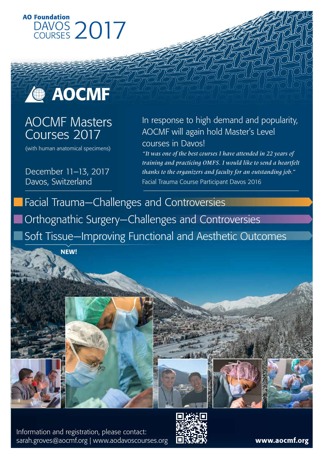



## AOCMF Masters Courses 2017

(with human anatomical specimens)

December 11–13, 2017 Davos, Switzerland

### In response to high demand and popularity, AOCMF will again hold Master's Level courses in Davos!

*"It was one of the best courses I have attended in 22 years of training and practicing OMFS. I would like to send a heartfelt thanks to the organizers and faculty for an outstanding job."*  Facial Trauma Course Participant Davos 2016

Facial Trauma—Challenges and Controversies Orthognathic Surgery—Challenges and Controversies Soft Tissue—Improving Functional and Aesthetic Outcomes

**NEW!** 







Information and registration, please contact: [sarah.groves@aocmf.org](mailto:sarah.groves%40aocmf.org?subject=) | [www.aodavoscourses.org](http://www.aodavoscourses.org) 国**克实校**》 **[www.aocmf.org](http://www.aocmf.org)**